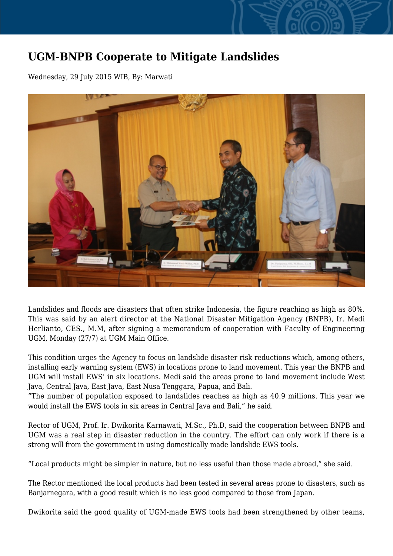## **UGM-BNPB Cooperate to Mitigate Landslides**

Wednesday, 29 July 2015 WIB, By: Marwati



Landslides and floods are disasters that often strike Indonesia, the figure reaching as high as 80%. This was said by an alert director at the National Disaster Mitigation Agency (BNPB), Ir. Medi Herlianto, CES., M.M, after signing a memorandum of cooperation with Faculty of Engineering UGM, Monday (27/7) at UGM Main Office.

This condition urges the Agency to focus on landslide disaster risk reductions which, among others, installing early warning system (EWS) in locations prone to land movement. This year the BNPB and UGM will install EWS' in six locations. Medi said the areas prone to land movement include West Java, Central Java, East Java, East Nusa Tenggara, Papua, and Bali.

"The number of population exposed to landslides reaches as high as 40.9 millions. This year we would install the EWS tools in six areas in Central Java and Bali," he said.

Rector of UGM, Prof. Ir. Dwikorita Karnawati, M.Sc., Ph.D, said the cooperation between BNPB and UGM was a real step in disaster reduction in the country. The effort can only work if there is a strong will from the government in using domestically made landslide EWS tools.

"Local products might be simpler in nature, but no less useful than those made abroad," she said.

The Rector mentioned the local products had been tested in several areas prone to disasters, such as Banjarnegara, with a good result which is no less good compared to those from Japan.

Dwikorita said the good quality of UGM-made EWS tools had been strengthened by other teams,